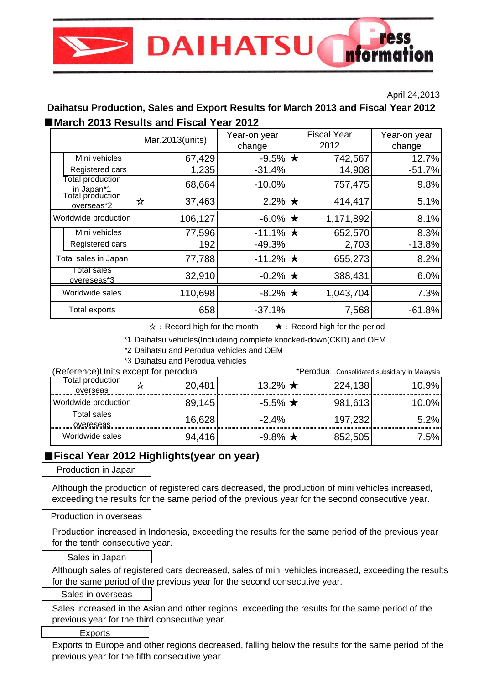# ress **DAIHATSU** nformal

#### April 24,2013

## ■*March 2013 Results and Fiscal Year 2012* **Daihatsu Production, Sales and Export Results for March 2013 and Fiscal Year 2012**

|                                   | Mar.2013(units) | Year-on year<br>change | <b>Fiscal Year</b><br>2012 | Year-on year<br>change |
|-----------------------------------|-----------------|------------------------|----------------------------|------------------------|
| Mini vehicles                     | 67,429          | $-9.5\%$ $\star$       | 742,567                    | 12.7%                  |
| Registered cars                   | 1,235           | $-31.4%$               | 14,908                     | $-51.7%$               |
| Total production<br>in Japan*1    | 68,664          | $-10.0%$               | 757,475                    | 9.8%                   |
| otal production<br>overseas*2     | 37,463<br>☆     | 2.2% $\star$           | 414,417                    | 5.1%                   |
| Worldwide production              | 106,127         | $-6.0\%$ $\star$       | 1,171,892                  | 8.1%                   |
| Mini vehicles                     | 77,596          | $-11.1\%$ $\star$      | 652,570                    | 8.3%                   |
| Registered cars                   | 192             | $-49.3%$               | 2,703                      | $-13.8%$               |
| Total sales in Japan              | 77,788          | $-11.2\%$ $\star$      | 655,273                    | 8.2%                   |
| Total sales<br><u>overeseas*3</u> | 32,910          | $-0.2\%$ $\star$       | 388,431                    | 6.0%                   |
| Worldwide sales                   | 110,698         | $-8.2\%$ $\star$       | 1,043,704                  | 7.3%                   |
| Total exports                     | 658             | $-37.1%$               | 7,568                      | $-61.8%$               |

☆:Record high for the month ★:Record high for the period

\*1 Daihatsu vehicles(Includeing complete knocked-down(CKD) and OEM

\*2 Daihatsu and Perodua vehicles and OEM

\*3 Daihatsu and Perodua vehicles

| (Reference) Units except for perodua |        |                     | *PeroduaConsolidated subsidiary in Malaysia |        |  |
|--------------------------------------|--------|---------------------|---------------------------------------------|--------|--|
| otal production<br>overseas          | 20,481 | 13.2% $\star$       | 224,138                                     | 10.9%  |  |
| Worldwide production                 | 89.145 | $-5.5\%$ $\star$    | 981,613                                     | 10.0%l |  |
| otal sales<br>overeseas              | 16,628 | $-2.4%$             | 197,232                                     | 5.2%   |  |
| Worldwide sales                      | 94 416 | -9.8%I <del>∤</del> | 852,505                                     | 75%    |  |

## ■**Fiscal Year 2012 Highlights(year on year)**

Production in Japan

Although the production of registered cars decreased, the production of mini vehicles increased, exceeding the results for the same period of the previous year for the second consecutive year.

## Production in overseas

Production increased in Indonesia, exceeding the results for the same period of the previous year for the tenth consecutive year.

## Sales in Japan

Although sales of registered cars decreased, sales of mini vehicles increased, exceeding the results for the same period of the previous year for the second consecutive year.

## Sales in overseas

Sales increased in the Asian and other regions, exceeding the results for the same period of the previous year for the third consecutive year.

#### Exports

Exports to Europe and other regions decreased, falling below the results for the same period of the previous year for the fifth consecutive year.